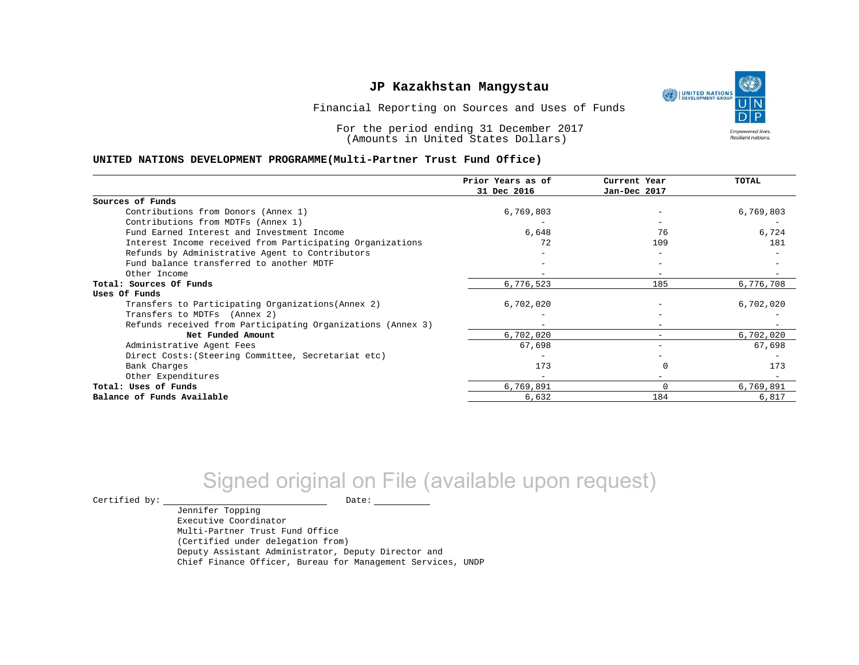UNITED NATIONS **Empowered lives** Resilient nations.

Financial Reporting on Sources and Uses of Funds

For the period ending 31 December 2017 (Amounts in United States Dollars)

#### **UNITED NATIONS DEVELOPMENT PROGRAMME(Multi-Partner Trust Fund Office)**

|                                                             | Prior Years as of | Current Year    | <b>TOTAL</b> |
|-------------------------------------------------------------|-------------------|-----------------|--------------|
|                                                             | 31 Dec 2016       | Jan-Dec 2017    |              |
| Sources of Funds                                            |                   |                 |              |
| Contributions from Donors (Annex 1)                         | 6,769,803         |                 | 6,769,803    |
| Contributions from MDTFs (Annex 1)                          |                   |                 |              |
| Fund Earned Interest and Investment Income                  | 6,648             | 76              | 6,724        |
| Interest Income received from Participating Organizations   | 72                | 109             | 181          |
| Refunds by Administrative Agent to Contributors             |                   |                 |              |
| Fund balance transferred to another MDTF                    |                   |                 |              |
| Other Income                                                |                   |                 |              |
| Total: Sources Of Funds                                     | 6,776,523         | 185             | 6,776,708    |
| Uses Of Funds                                               |                   |                 |              |
| Transfers to Participating Organizations (Annex 2)          | 6,702,020         |                 | 6,702,020    |
| Transfers to MDTFs (Annex 2)                                |                   |                 |              |
| Refunds received from Participating Organizations (Annex 3) | $\equiv$          | -               |              |
| Net Funded Amount                                           | 6,702,020         | $-$             | 6,702,020    |
| Administrative Agent Fees                                   | 67,698            | $\qquad \qquad$ | 67,698       |
| Direct Costs: (Steering Committee, Secretariat etc)         |                   |                 |              |
| Bank Charges                                                | 173               |                 | 173          |
| Other Expenditures                                          |                   |                 |              |
| Total: Uses of Funds                                        | 6,769,891         | 0               | 6,769,891    |
| Balance of Funds Available                                  | 6,632             | 184             | 6,817        |

# Signed original on File (available upon request)

 $\begin{tabular}{ccccc} \multicolumn{2}{c|}{\textbf{Certified by:}} & \multicolumn{2}{c|}{\textbf{Date:}} \end{tabular}$ 

Jennifer Topping Executive Coordinator Multi-Partner Trust Fund Office (Certified under delegation from) Deputy Assistant Administrator, Deputy Director and Chief Finance Officer, Bureau for Management Services, UNDP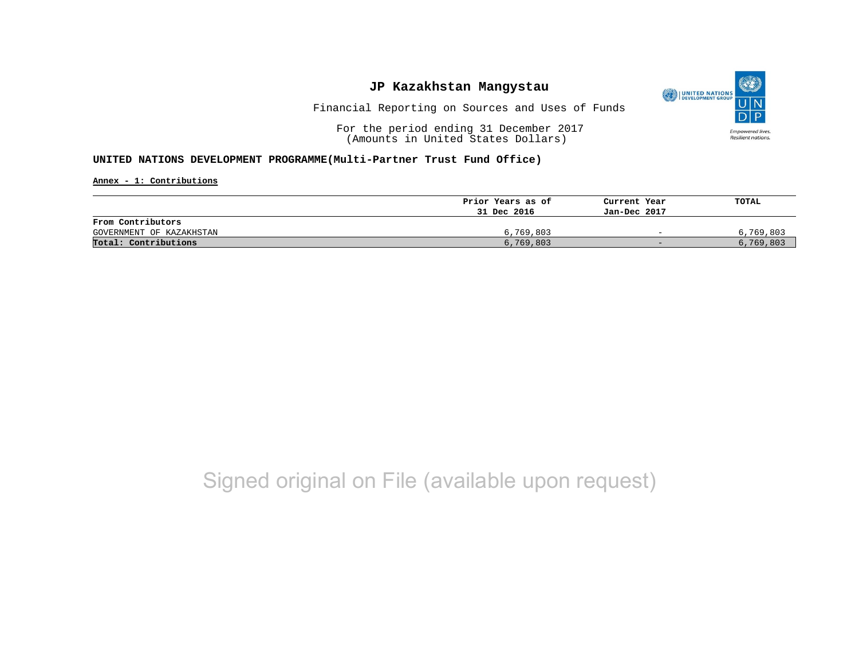

Financial Reporting on Sources and Uses of Funds

For the period ending 31 December 2017 (Amounts in United States Dollars)

#### **UNITED NATIONS DEVELOPMENT PROGRAMME(Multi-Partner Trust Fund Office)**

**Annex - 1: Contributions**

|                          | Prior Years as of | Current Year             | TOTAL     |
|--------------------------|-------------------|--------------------------|-----------|
|                          | 31 Dec 2016       | Jan-Dec 2017             |           |
| From Contributors        |                   |                          |           |
| GOVERNMENT OF KAZAKHSTAN | 6,769,803         | $\overline{\phantom{0}}$ | 6,769,803 |
| Total: Contributions     | 6,769,803         | $-$                      | 6,769,803 |

## Signed original on File (available upon request)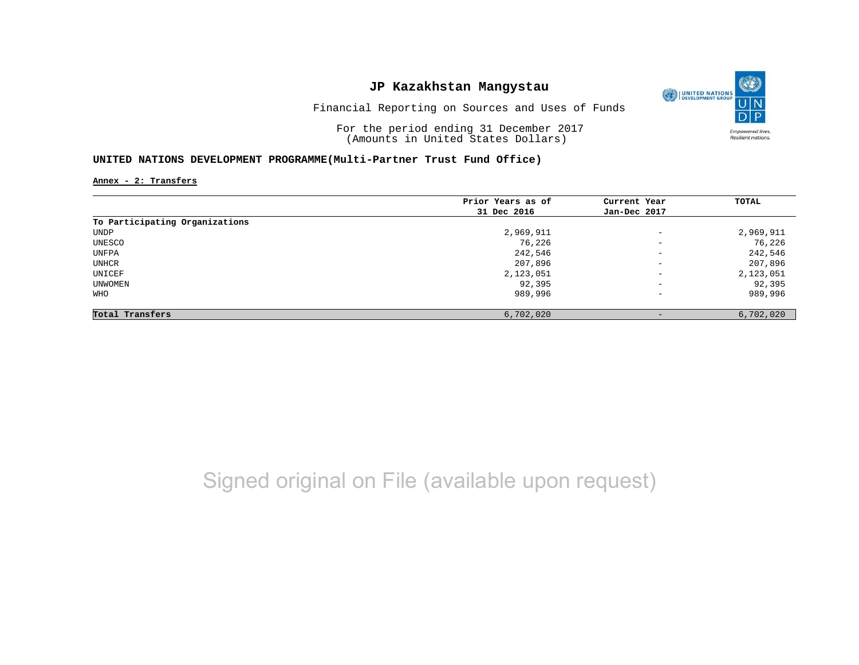

Financial Reporting on Sources and Uses of Funds

For the period ending 31 December 2017 (Amounts in United States Dollars)

#### **UNITED NATIONS DEVELOPMENT PROGRAMME(Multi-Partner Trust Fund Office)**

**Annex - 2: Transfers**

|                                | Prior Years as of | Current Year             | TOTAL     |
|--------------------------------|-------------------|--------------------------|-----------|
|                                | 31 Dec 2016       | Jan-Dec 2017             |           |
| To Participating Organizations |                   |                          |           |
| UNDP                           | 2,969,911         | $\overline{\phantom{a}}$ | 2,969,911 |
| UNESCO                         | 76,226            | $\overline{\phantom{a}}$ | 76,226    |
| UNFPA                          | 242,546           | $\overline{\phantom{m}}$ | 242,546   |
| UNHCR                          | 207,896           | $\overline{\phantom{a}}$ | 207,896   |
| UNICEF                         | 2,123,051         | $\overline{\phantom{a}}$ | 2,123,051 |
| UNWOMEN                        | 92,395            | $\overline{\phantom{a}}$ | 92,395    |
| WHO                            | 989,996           | $\overline{\phantom{a}}$ | 989,996   |
| Total Transfers                | 6,702,020         | $\qquad \qquad -$        | 6,702,020 |

# Signed original on File (available upon request)